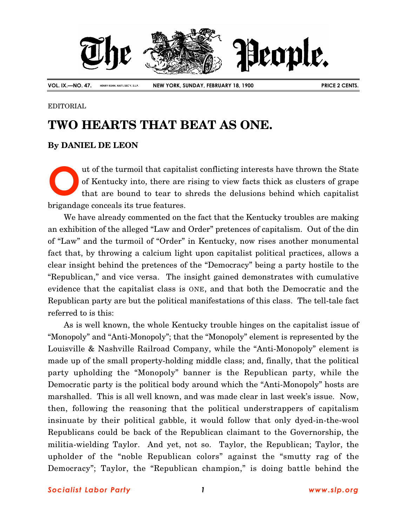

**VOL. IX.—NO. 47. HENRY KUHN, NAT'L SEC'Y, S.L.P. NEW YORK, SUNDAY, FEBRUARY 18, 1900 PRICE 2 CENTS.**

## EDITORIAL

## **TWO HEARTS THAT BEAT AS ONE.**

## **By DANIEL DE LEON**

ut of the turmoil that capitalist conflicting interests have thrown the State of Kentucky into, there are rising to view facts thick as clusters of grape that are bound to tear to shreds the delusions behind which capitalist brigandage conceals its true features. **O**

We have already commented on the fact that the Kentucky troubles are making an exhibition of the alleged "Law and Order" pretences of capitalism. Out of the din of "Law" and the turmoil of "Order" in Kentucky, now rises another monumental fact that, by throwing a calcium light upon capitalist political practices, allows a clear insight behind the pretences of the "Democracy" being a party hostile to the "Republican," and vice versa. The insight gained demonstrates with cumulative evidence that the capitalist class is ONE, and that both the Democratic and the Republican party are but the political manifestations of this class. The tell-tale fact referred to is this:

As is well known, the whole Kentucky trouble hinges on the capitalist issue of "Monopoly" and "Anti-Monopoly"; that the "Monopoly" element is represented by the Louisville & Nashville Railroad Company, while the "Anti-Monopoly" element is made up of the small property-holding middle class; and, finally, that the political party upholding the "Monopoly" banner is the Republican party, while the Democratic party is the political body around which the "Anti-Monopoly" hosts are marshalled. This is all well known, and was made clear in last week's issue. Now, then, following the reasoning that the political understrappers of capitalism insinuate by their political gabble, it would follow that only dyed-in-the-wool Republicans could be back of the Republican claimant to the Governorship, the militia-wielding Taylor. And yet, not so. Taylor, the Republican; Taylor, the upholder of the "noble Republican colors" against the "smutty rag of the Democracy"; Taylor, the "Republican champion," is doing battle behind the